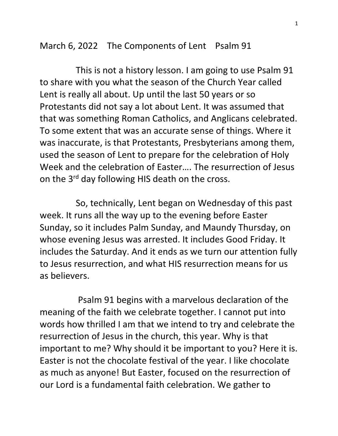March 6, 2022 The Components of Lent Psalm 91

 This is not a history lesson. I am going to use Psalm 91 to share with you what the season of the Church Year called Lent is really all about. Up until the last 50 years or so Protestants did not say a lot about Lent. It was assumed that that was something Roman Catholics, and Anglicans celebrated. To some extent that was an accurate sense of things. Where it was inaccurate, is that Protestants, Presbyterians among them, used the season of Lent to prepare for the celebration of Holy Week and the celebration of Easter…. The resurrection of Jesus on the 3<sup>rd</sup> day following HIS death on the cross.

 So, technically, Lent began on Wednesday of this past week. It runs all the way up to the evening before Easter Sunday, so it includes Palm Sunday, and Maundy Thursday, on whose evening Jesus was arrested. It includes Good Friday. It includes the Saturday. And it ends as we turn our attention fully to Jesus resurrection, and what HIS resurrection means for us as believers.

 Psalm 91 begins with a marvelous declaration of the meaning of the faith we celebrate together. I cannot put into words how thrilled I am that we intend to try and celebrate the resurrection of Jesus in the church, this year. Why is that important to me? Why should it be important to you? Here it is. Easter is not the chocolate festival of the year. I like chocolate as much as anyone! But Easter, focused on the resurrection of our Lord is a fundamental faith celebration. We gather to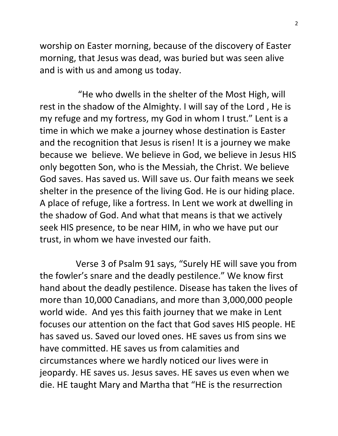worship on Easter morning, because of the discovery of Easter morning, that Jesus was dead, was buried but was seen alive and is with us and among us today.

 "He who dwells in the shelter of the Most High, will rest in the shadow of the Almighty. I will say of the Lord , He is my refuge and my fortress, my God in whom I trust." Lent is a time in which we make a journey whose destination is Easter and the recognition that Jesus is risen! It is a journey we make because we believe. We believe in God, we believe in Jesus HIS only begotten Son, who is the Messiah, the Christ. We believe God saves. Has saved us. Will save us. Our faith means we seek shelter in the presence of the living God. He is our hiding place. A place of refuge, like a fortress. In Lent we work at dwelling in the shadow of God. And what that means is that we actively seek HIS presence, to be near HIM, in who we have put our trust, in whom we have invested our faith.

 Verse 3 of Psalm 91 says, "Surely HE will save you from the fowler's snare and the deadly pestilence." We know first hand about the deadly pestilence. Disease has taken the lives of more than 10,000 Canadians, and more than 3,000,000 people world wide. And yes this faith journey that we make in Lent focuses our attention on the fact that God saves HIS people. HE has saved us. Saved our loved ones. HE saves us from sins we have committed. HE saves us from calamities and circumstances where we hardly noticed our lives were in jeopardy. HE saves us. Jesus saves. HE saves us even when we die. HE taught Mary and Martha that "HE is the resurrection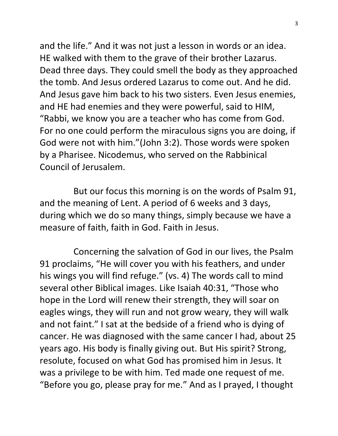and the life." And it was not just a lesson in words or an idea. HE walked with them to the grave of their brother Lazarus. Dead three days. They could smell the body as they approached the tomb. And Jesus ordered Lazarus to come out. And he did. And Jesus gave him back to his two sisters. Even Jesus enemies, and HE had enemies and they were powerful, said to HIM, "Rabbi, we know you are a teacher who has come from God. For no one could perform the miraculous signs you are doing, if God were not with him."(John 3:2). Those words were spoken by a Pharisee. Nicodemus, who served on the Rabbinical Council of Jerusalem.

 But our focus this morning is on the words of Psalm 91, and the meaning of Lent. A period of 6 weeks and 3 days, during which we do so many things, simply because we have a measure of faith, faith in God. Faith in Jesus.

 Concerning the salvation of God in our lives, the Psalm 91 proclaims, "He will cover you with his feathers, and under his wings you will find refuge." (vs. 4) The words call to mind several other Biblical images. Like Isaiah 40:31, "Those who hope in the Lord will renew their strength, they will soar on eagles wings, they will run and not grow weary, they will walk and not faint." I sat at the bedside of a friend who is dying of cancer. He was diagnosed with the same cancer I had, about 25 years ago. His body is finally giving out. But His spirit? Strong, resolute, focused on what God has promised him in Jesus. It was a privilege to be with him. Ted made one request of me. "Before you go, please pray for me." And as I prayed, I thought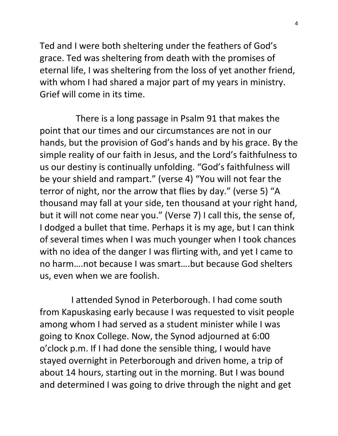Ted and I were both sheltering under the feathers of God's grace. Ted was sheltering from death with the promises of eternal life, I was sheltering from the loss of yet another friend, with whom I had shared a major part of my years in ministry. Grief will come in its time.

 There is a long passage in Psalm 91 that makes the point that our times and our circumstances are not in our hands, but the provision of God's hands and by his grace. By the simple reality of our faith in Jesus, and the Lord's faithfulness to us our destiny is continually unfolding. "God's faithfulness will be your shield and rampart." (verse 4) "You will not fear the terror of night, nor the arrow that flies by day." (verse 5) "A thousand may fall at your side, ten thousand at your right hand, but it will not come near you." (Verse 7) I call this, the sense of, I dodged a bullet that time. Perhaps it is my age, but I can think of several times when I was much younger when I took chances with no idea of the danger I was flirting with, and yet I came to no harm….not because I was smart….but because God shelters us, even when we are foolish.

 I attended Synod in Peterborough. I had come south from Kapuskasing early because I was requested to visit people among whom I had served as a student minister while I was going to Knox College. Now, the Synod adjourned at 6:00 o'clock p.m. If I had done the sensible thing, I would have stayed overnight in Peterborough and driven home, a trip of about 14 hours, starting out in the morning. But I was bound and determined I was going to drive through the night and get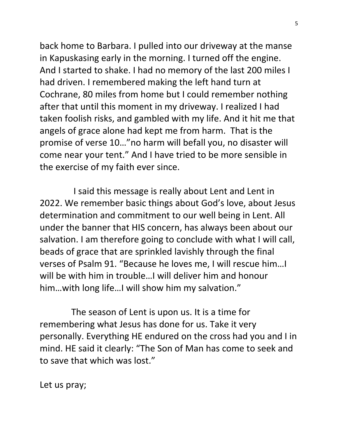back home to Barbara. I pulled into our driveway at the manse in Kapuskasing early in the morning. I turned off the engine. And I started to shake. I had no memory of the last 200 miles I had driven. I remembered making the left hand turn at Cochrane, 80 miles from home but I could remember nothing after that until this moment in my driveway. I realized I had taken foolish risks, and gambled with my life. And it hit me that angels of grace alone had kept me from harm. That is the promise of verse 10…"no harm will befall you, no disaster will come near your tent." And I have tried to be more sensible in the exercise of my faith ever since.

 I said this message is really about Lent and Lent in 2022. We remember basic things about God's love, about Jesus determination and commitment to our well being in Lent. All under the banner that HIS concern, has always been about our salvation. I am therefore going to conclude with what I will call, beads of grace that are sprinkled lavishly through the final verses of Psalm 91. "Because he loves me, I will rescue him…I will be with him in trouble…I will deliver him and honour him…with long life…I will show him my salvation."

 The season of Lent is upon us. It is a time for remembering what Jesus has done for us. Take it very personally. Everything HE endured on the cross had you and I in mind. HE said it clearly: "The Son of Man has come to seek and to save that which was lost."

Let us pray;